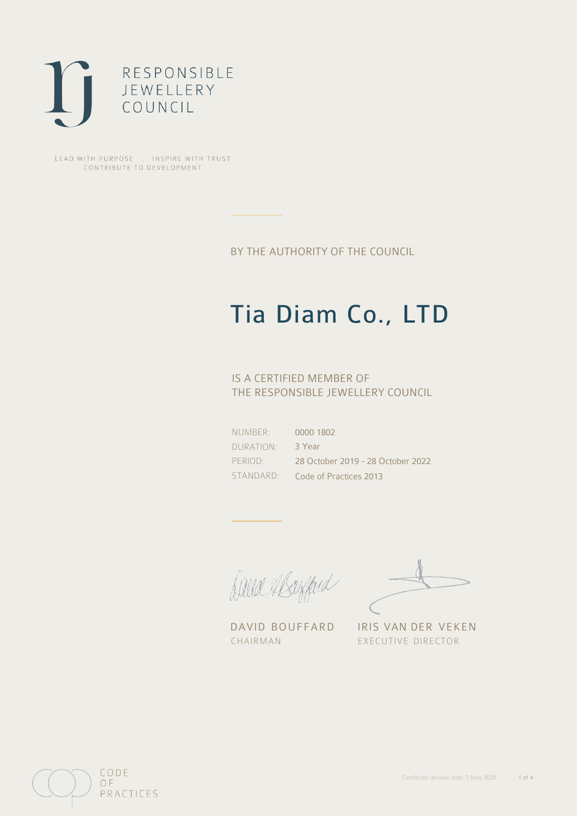

LEAD WITH PURPOSE . INSPIRE WITH TRUST CONTRIBUTE TO DEVELOPMENT

BY THE AUTHORITY OF THE COUNCIL

## Tia Diam Co., LTD

## IS A CERTIFIED MEMBER OF THE RESPONSIBLE JEWELLERY COUNCIL

NUMBER: DURATION: PERIOD: STANDARD:

0000 1802 3 Year 28 October 2019 - 28 October 2022 Code of Practices 2013

Caux Margard

DAVID BOUFFARD IRIS VAN DER VEKEN CHAIRMAN EXECUTIVE DIRECTOR

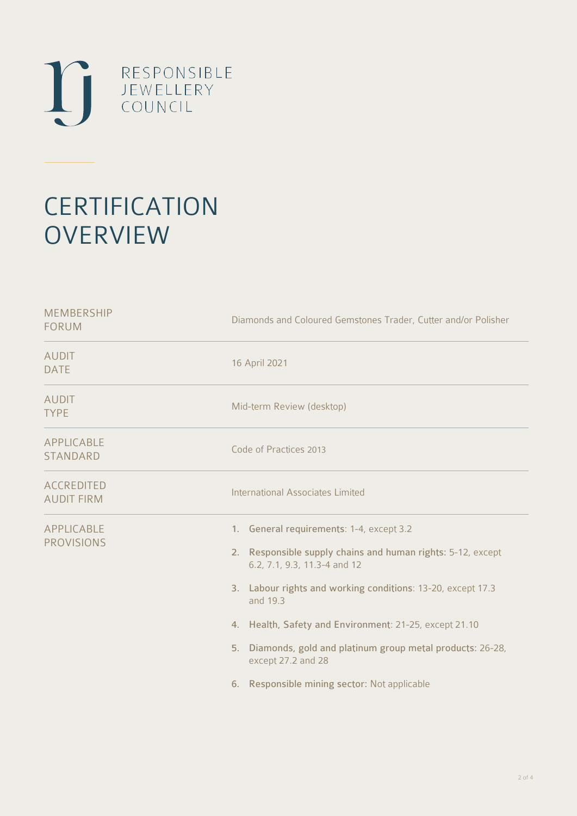

# **CERTIFICATION OVERVIEW**

| Diamonds and Coloured Gemstones Trader, Cutter and/or Polisher                                                                                                                                                                                                                                                                                                                                                    |  |  |
|-------------------------------------------------------------------------------------------------------------------------------------------------------------------------------------------------------------------------------------------------------------------------------------------------------------------------------------------------------------------------------------------------------------------|--|--|
| 16 April 2021                                                                                                                                                                                                                                                                                                                                                                                                     |  |  |
| Mid-term Review (desktop)                                                                                                                                                                                                                                                                                                                                                                                         |  |  |
| Code of Practices 2013                                                                                                                                                                                                                                                                                                                                                                                            |  |  |
| <b>International Associates Limited</b>                                                                                                                                                                                                                                                                                                                                                                           |  |  |
| 1. General requirements: 1-4, except 3.2<br>2. Responsible supply chains and human rights: 5-12, except<br>6.2, 7.1, 9.3, 11.3-4 and 12<br>3. Labour rights and working conditions: 13-20, except 17.3<br>and 19.3<br>4. Health, Safety and Environment: 21-25, except 21.10<br>5. Diamonds, gold and platinum group metal products: 26-28,<br>except 27.2 and 28<br>6. Responsible mining sector: Not applicable |  |  |
|                                                                                                                                                                                                                                                                                                                                                                                                                   |  |  |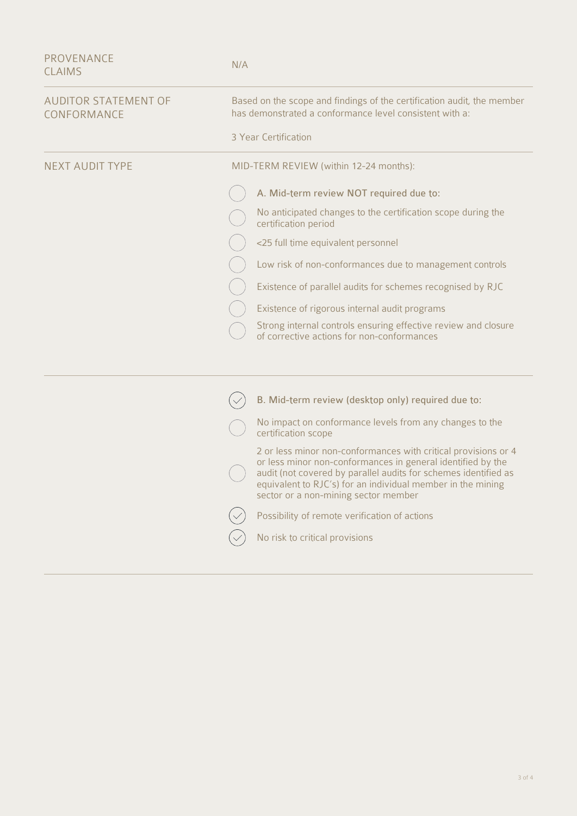| <b>PROVENANCE</b><br><b>CLAIMS</b>         | N/A                                                                                                                                                                                                                                                                                                     |  |  |
|--------------------------------------------|---------------------------------------------------------------------------------------------------------------------------------------------------------------------------------------------------------------------------------------------------------------------------------------------------------|--|--|
| <b>AUDITOR STATEMENT OF</b><br>CONFORMANCE | Based on the scope and findings of the certification audit, the member<br>has demonstrated a conformance level consistent with a:                                                                                                                                                                       |  |  |
|                                            | 3 Year Certification                                                                                                                                                                                                                                                                                    |  |  |
| <b>NEXT AUDIT TYPE</b>                     | MID-TERM REVIEW (within 12-24 months):                                                                                                                                                                                                                                                                  |  |  |
|                                            | A. Mid-term review NOT required due to:                                                                                                                                                                                                                                                                 |  |  |
|                                            | No anticipated changes to the certification scope during the<br>certification period                                                                                                                                                                                                                    |  |  |
|                                            | <25 full time equivalent personnel                                                                                                                                                                                                                                                                      |  |  |
|                                            | Low risk of non-conformances due to management controls                                                                                                                                                                                                                                                 |  |  |
|                                            | Existence of parallel audits for schemes recognised by RJC                                                                                                                                                                                                                                              |  |  |
|                                            | Existence of rigorous internal audit programs                                                                                                                                                                                                                                                           |  |  |
|                                            | Strong internal controls ensuring effective review and closure<br>of corrective actions for non-conformances                                                                                                                                                                                            |  |  |
|                                            |                                                                                                                                                                                                                                                                                                         |  |  |
|                                            | B. Mid-term review (desktop only) required due to:                                                                                                                                                                                                                                                      |  |  |
|                                            | No impact on conformance levels from any changes to the<br>certification scope                                                                                                                                                                                                                          |  |  |
|                                            | 2 or less minor non-conformances with critical provisions or 4<br>or less minor non-conformances in general identified by the<br>audit (not covered by parallel audits for schemes identified as<br>equivalent to RJC's) for an individual member in the mining<br>sector or a non-mining sector member |  |  |
|                                            | Possibility of remote verification of actions                                                                                                                                                                                                                                                           |  |  |
|                                            | No risk to critical provisions                                                                                                                                                                                                                                                                          |  |  |